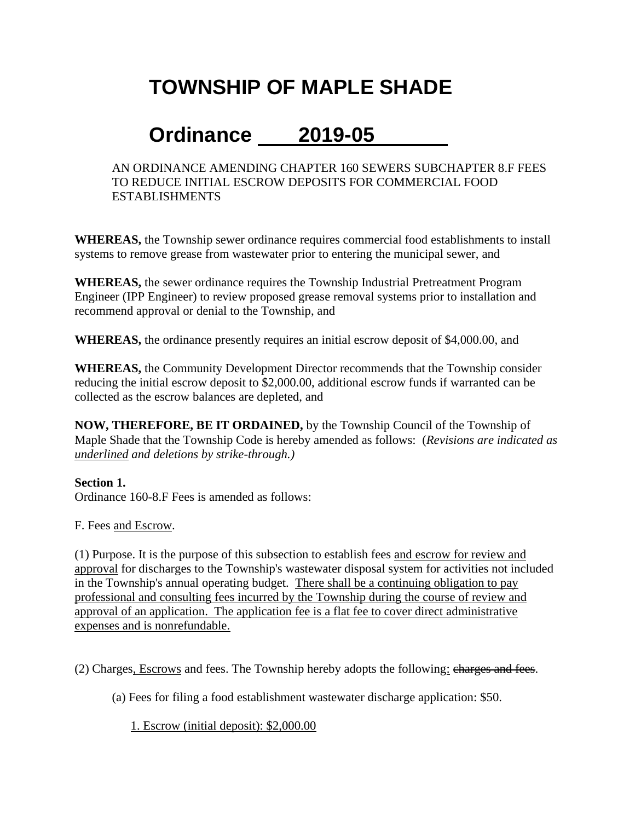# **TOWNSHIP OF MAPLE SHADE**

# **Ordinance 2019-05**

AN ORDINANCE AMENDING CHAPTER 160 SEWERS SUBCHAPTER 8.F FEES TO REDUCE INITIAL ESCROW DEPOSITS FOR COMMERCIAL FOOD ESTABLISHMENTS

**WHEREAS,** the Township sewer ordinance requires commercial food establishments to install systems to remove grease from wastewater prior to entering the municipal sewer, and

**WHEREAS,** the sewer ordinance requires the Township Industrial Pretreatment Program Engineer (IPP Engineer) to review proposed grease removal systems prior to installation and recommend approval or denial to the Township, and

**WHEREAS,** the ordinance presently requires an initial escrow deposit of \$4,000.00, and

**WHEREAS,** the Community Development Director recommends that the Township consider reducing the initial escrow deposit to \$2,000.00, additional escrow funds if warranted can be collected as the escrow balances are depleted, and

**NOW, THEREFORE, BE IT ORDAINED,** by the Township Council of the Township of Maple Shade that the Township Code is hereby amended as follows: (*Revisions are indicated as underlined and deletions by strike-through.)*

#### **Section 1.**

Ordinance 160-8.F Fees is amended as follows:

F. Fees and Escrow.

(1) Purpose. It is the purpose of this subsection to establish fees and escrow for review and approval for discharges to the Township's wastewater disposal system for activities not included in the Township's annual operating budget. There shall be a continuing obligation to pay professional and consulting fees incurred by the Township during the course of review and approval of an application. The application fee is a flat fee to cover direct administrative expenses and is nonrefundable.

(2) Charges, Escrows and fees. The Township hereby adopts the following: charges and fees.

(a) Fees for filing a food establishment wastewater discharge application: \$50.

1. Escrow (initial deposit): \$2,000.00